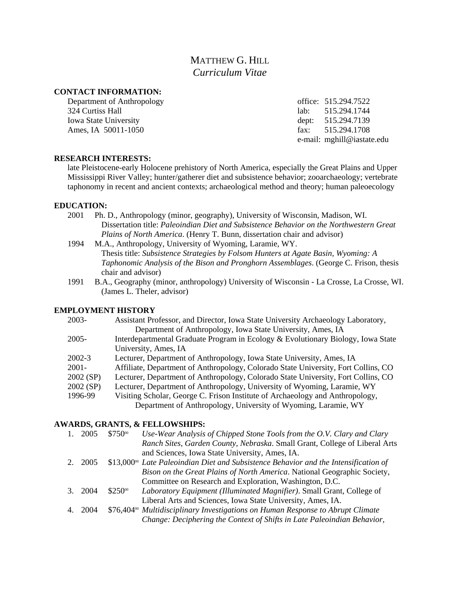# MATTHEW G. HILL *Curriculum Vitae*

### **CONTACT INFORMATION:**

Department of Anthropology office: 515.294.7522 324 Curtiss Hall lab: 515.294.1744 Iowa State University dept: 515.294.7139 Ames, IA 50011-1050 fax: 515.294.1708

e-mail: mghill@iastate.edu

#### **RESEARCH INTERESTS:**

late Pleistocene-early Holocene prehistory of North America, especially the Great Plains and Upper Mississippi River Valley; hunter/gatherer diet and subsistence behavior; zooarchaeology; vertebrate taphonomy in recent and ancient contexts; archaeological method and theory; human paleoecology

#### **EDUCATION:**

- 2001 Ph. D., Anthropology (minor, geography), University of Wisconsin, Madison, WI. Dissertation title: *Paleoindian Diet and Subsistence Behavior on the Northwestern Great Plains of North America*. (Henry T. Bunn, dissertation chair and advisor)
- 1994 M.A., Anthropology, University of Wyoming, Laramie, WY. Thesis title: *Subsistence Strategies by Folsom Hunters at Agate Basin, Wyoming: A Taphonomic Analysis of the Bison and Pronghorn Assemblages*. (George C. Frison, thesis chair and advisor)
- 1991 B.A., Geography (minor, anthropology) University of Wisconsin La Crosse, La Crosse, WI. (James L. Theler, advisor)

## **EMPLOYMENT HISTORY**

| 2003-      | Assistant Professor, and Director, Iowa State University Archaeology Laboratory,   |
|------------|------------------------------------------------------------------------------------|
|            | Department of Anthropology, Iowa State University, Ames, IA                        |
| 2005-      | Interdepartmental Graduate Program in Ecology & Evolutionary Biology, Iowa State   |
|            | University, Ames, IA                                                               |
| $2002 - 3$ | Lecturer, Department of Anthropology, Iowa State University, Ames, IA              |
| $2001 -$   | Affiliate, Department of Anthropology, Colorado State University, Fort Collins, CO |
| 2002 (SP)  | Lecturer, Department of Anthropology, Colorado State University, Fort Collins, CO  |
| 2002 (SP)  | Lecturer, Department of Anthropology, University of Wyoming, Laramie, WY           |
| 1996-99    | Visiting Scholar, George C. Frison Institute of Archaeology and Anthropology,      |
|            | Department of Anthropology, University of Wyoming, Laramie, WY                     |

#### **AWARDS, GRANTS, & FELLOWSHIPS:**

|             | 2005    | \$75000        | Use-Wear Analysis of Chipped Stone Tools from the O.V. Clary and Clary                      |
|-------------|---------|----------------|---------------------------------------------------------------------------------------------|
|             |         |                | Ranch Sites, Garden County, Nebraska. Small Grant, College of Liberal Arts                  |
|             |         |                | and Sciences, Iowa State University, Ames, IA.                                              |
| $2^{\circ}$ | 2005    |                | $$13,000^{\circ}$ Late Paleoindian Diet and Subsistence Behavior and the Intensification of |
|             |         |                | Bison on the Great Plains of North America. National Geographic Society,                    |
|             |         |                | Committee on Research and Exploration, Washington, D.C.                                     |
|             | 3. 2004 | $$250^{\circ}$ | Laboratory Equipment (Illuminated Magnifier). Small Grant, College of                       |
|             |         |                | Liberal Arts and Sciences, Iowa State University, Ames, IA.                                 |
|             | 4. 2004 |                | \$76,404 <sup>°</sup> Multidisciplinary Investigations on Human Response to Abrupt Climate  |
|             |         |                | Change: Deciphering the Context of Shifts in Late Paleoindian Behavior,                     |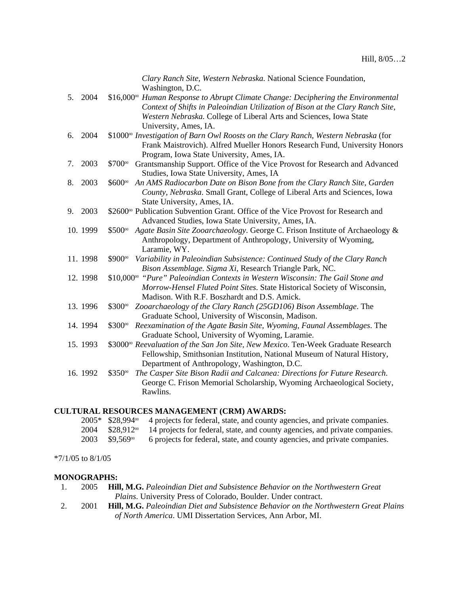|    |          | Clary Ranch Site, Western Nebraska. National Science Foundation,                                                                                                         |
|----|----------|--------------------------------------------------------------------------------------------------------------------------------------------------------------------------|
|    | 5. 2004  | Washington, D.C.<br>\$16,000 <sup>°</sup> Human Response to Abrupt Climate Change: Deciphering the Environmental                                                         |
|    |          | Context of Shifts in Paleoindian Utilization of Bison at the Clary Ranch Site,                                                                                           |
|    |          | Western Nebraska. College of Liberal Arts and Sciences, Iowa State                                                                                                       |
|    |          | University, Ames, IA.                                                                                                                                                    |
| 6. | 2004     | \$1000 <sup>°</sup> Investigation of Barn Owl Roosts on the Clary Ranch, Western Nebraska (for                                                                           |
|    |          | Frank Maistrovich). Alfred Mueller Honors Research Fund, University Honors                                                                                               |
|    |          | Program, Iowa State University, Ames, IA.                                                                                                                                |
| 7. | 2003     | \$700%<br>Grantsmanship Support. Office of the Vice Provost for Research and Advanced                                                                                    |
|    |          | Studies, Iowa State University, Ames, IA                                                                                                                                 |
| 8. | 2003     | \$600%<br>An AMS Radiocarbon Date on Bison Bone from the Clary Ranch Site, Garden                                                                                        |
|    |          | County, Nebraska. Small Grant, College of Liberal Arts and Sciences, Iowa                                                                                                |
|    |          | State University, Ames, IA.                                                                                                                                              |
| 9. | 2003     | \$2600 <sup>°</sup> Publication Subvention Grant. Office of the Vice Provost for Research and                                                                            |
|    |          | Advanced Studies, Iowa State University, Ames, IA.                                                                                                                       |
|    | 10.1999  | \$500%<br>Agate Basin Site Zooarchaeology. George C. Frison Institute of Archaeology &                                                                                   |
|    |          | Anthropology, Department of Anthropology, University of Wyoming,                                                                                                         |
|    |          | Laramie, WY.                                                                                                                                                             |
|    | 11.1998  | \$900%<br>Variability in Paleoindian Subsistence: Continued Study of the Clary Ranch                                                                                     |
|    |          | Bison Assemblage. Sigma Xi, Research Triangle Park, NC.                                                                                                                  |
|    | 12.1998  | \$10,000 <sup>oo</sup> "Pure" Paleoindian Contexts in Western Wisconsin: The Gail Stone and                                                                              |
|    |          | Morrow-Hensel Fluted Point Sites. State Historical Society of Wisconsin,                                                                                                 |
|    |          | Madison. With R.F. Boszhardt and D.S. Amick.                                                                                                                             |
|    | 13.1996  | \$300%<br>Zooarchaeology of the Clary Ranch (25GD106) Bison Assemblage. The                                                                                              |
|    |          | Graduate School, University of Wisconsin, Madison.                                                                                                                       |
|    | 14.1994  | \$300%<br>Reexamination of the Agate Basin Site, Wyoming, Faunal Assemblages. The                                                                                        |
|    | 15. 1993 | Graduate School, University of Wyoming, Laramie.                                                                                                                         |
|    |          | \$3000 <sup>°</sup> Reevaluation of the San Jon Site, New Mexico. Ten-Week Graduate Research<br>Fellowship, Smithsonian Institution, National Museum of Natural History, |
|    |          | Department of Anthropology, Washington, D.C.                                                                                                                             |
|    | 16.1992  | \$35000<br>The Casper Site Bison Radii and Calcanea: Directions for Future Research.                                                                                     |
|    |          | George C. Frison Memorial Scholarship, Wyoming Archaeological Society,                                                                                                   |
|    |          | Rawlins.                                                                                                                                                                 |
|    |          |                                                                                                                                                                          |

## **CULTURAL RESOURCES MANAGEMENT (CRM) AWARDS:**

|                             | $2005*$ \$28,994 $\textdegree$ 4 projects for federal, state, and county agencies, and private companies. |
|-----------------------------|-----------------------------------------------------------------------------------------------------------|
|                             | $2004$ \$28,912 $\degree$ 14 projects for federal, state, and county agencies, and private companies.     |
| $2003$ \$9,569 <sup>%</sup> | 6 projects for federal, state, and county agencies, and private companies.                                |

# \*7/1/05 to 8/1/05

#### **MONOGRAPHS:**

| 2005 | <b>Hill, M.G.</b> Paleoindian Diet and Subsistence Behavior on the Northwestern Great |
|------|---------------------------------------------------------------------------------------|
|      | <i>Plains</i> . University Press of Colorado, Boulder. Under contract.                |

2. 2001 **Hill, M.G.** *Paleoindian Diet and Subsistence Behavior on the Northwestern Great Plains of North America*. UMI Dissertation Services, Ann Arbor, MI.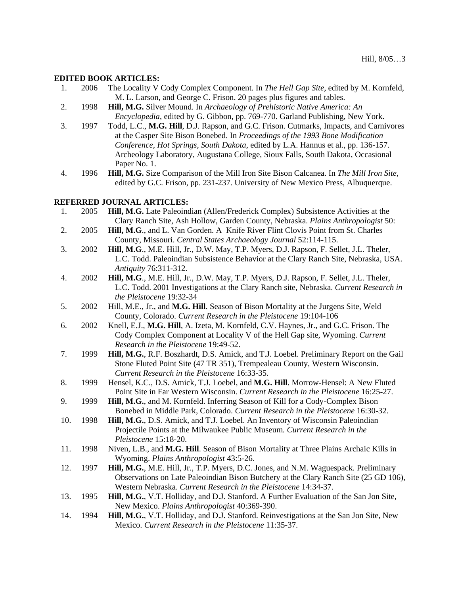#### **EDITED BOOK ARTICLES:**

- 1. 2006 The Locality V Cody Complex Component. In *The Hell Gap Site*, edited by M. Kornfeld, M. L. Larson, and George C. Frison. 20 pages plus figures and tables.
- 2. 1998 **Hill, M.G.** Silver Mound. In *Archaeology of Prehistoric Native America: An Encyclopedia*, edited by G. Gibbon, pp. 769-770. Garland Publishing, New York.
- 3. 1997 Todd, L.C., **M.G. Hill**, D.J. Rapson, and G.C. Frison. Cutmarks, Impacts, and Carnivores at the Casper Site Bison Bonebed. In *Proceedings of the 1993 Bone Modification Conference, Hot Springs, South Dakota*, edited by L.A. Hannus et al., pp. 136-157. Archeology Laboratory, Augustana College, Sioux Falls, South Dakota, Occasional Paper No. 1.
- 4. 1996 **Hill, M.G.** Size Comparison of the Mill Iron Site Bison Calcanea. In *The Mill Iron Site*, edited by G.C. Frison, pp. 231-237. University of New Mexico Press, Albuquerque.

#### **REFERRED JOURNAL ARTICLES:**

| 1.  | 2005 | Hill, M.G. Late Paleoindian (Allen/Frederick Complex) Subsistence Activities at the     |
|-----|------|-----------------------------------------------------------------------------------------|
|     |      | Clary Ranch Site, Ash Hollow, Garden County, Nebraska. Plains Anthropologist 50:        |
| 2.  | 2005 | Hill, M.G., and L. Van Gorden. A Knife River Flint Clovis Point from St. Charles        |
|     |      | County, Missouri. Central States Archaeology Journal 52:114-115.                        |
| 3.  | 2002 | Hill, M.G., M.E. Hill, Jr., D.W. May, T.P. Myers, D.J. Rapson, F. Sellet, J.L. Theler,  |
|     |      | L.C. Todd. Paleoindian Subsistence Behavior at the Clary Ranch Site, Nebraska, USA.     |
|     |      | Antiquity 76:311-312.                                                                   |
| 4.  | 2002 | Hill, M.G., M.E. Hill, Jr., D.W. May, T.P. Myers, D.J. Rapson, F. Sellet, J.L. Theler,  |
|     |      | L.C. Todd. 2001 Investigations at the Clary Ranch site, Nebraska. Current Research in   |
|     |      | the Pleistocene 19:32-34                                                                |
| 5.  | 2002 | Hill, M.E., Jr., and M.G. Hill. Season of Bison Mortality at the Jurgens Site, Weld     |
|     |      | County, Colorado. Current Research in the Pleistocene 19:104-106                        |
| 6.  | 2002 | Knell, E.J., M.G. Hill, A. Izeta, M. Kornfeld, C.V. Haynes, Jr., and G.C. Frison. The   |
|     |      | Cody Complex Component at Locality V of the Hell Gap site, Wyoming. Current             |
|     |      | Research in the Pleistocene 19:49-52.                                                   |
| 7.  | 1999 | Hill, M.G., R.F. Boszhardt, D.S. Amick, and T.J. Loebel. Preliminary Report on the Gail |
|     |      | Stone Fluted Point Site (47 TR 351), Trempealeau County, Western Wisconsin.             |
|     |      | Current Research in the Pleistocene 16:33-35.                                           |
| 8.  | 1999 | Hensel, K.C., D.S. Amick, T.J. Loebel, and M.G. Hill. Morrow-Hensel: A New Fluted       |
|     |      | Point Site in Far Western Wisconsin. Current Research in the Pleistocene 16:25-27.      |
| 9.  | 1999 | Hill, M.G., and M. Kornfeld. Inferring Season of Kill for a Cody-Complex Bison          |
|     |      | Bonebed in Middle Park, Colorado. Current Research in the Pleistocene 16:30-32.         |
| 10. | 1998 | Hill, M.G., D.S. Amick, and T.J. Loebel. An Inventory of Wisconsin Paleoindian          |
|     |      | Projectile Points at the Milwaukee Public Museum. Current Research in the               |
|     |      | Pleistocene 15:18-20.                                                                   |
| 11. | 1998 | Niven, L.B., and M.G. Hill. Season of Bison Mortality at Three Plains Archaic Kills in  |
|     |      | Wyoming. Plains Anthropologist 43:5-26.                                                 |
| 12. | 1997 | Hill, M.G., M.E. Hill, Jr., T.P. Myers, D.C. Jones, and N.M. Waguespack. Preliminary    |
|     |      | Observations on Late Paleoindian Bison Butchery at the Clary Ranch Site (25 GD 106),    |
|     |      | Western Nebraska. Current Research in the Pleistocene 14:34-37.                         |
| 13. | 1995 | Hill, M.G., V.T. Holliday, and D.J. Stanford. A Further Evaluation of the San Jon Site, |
|     |      | New Mexico. Plains Anthropologist 40:369-390.                                           |
| 14. | 1994 | Hill, M.G., V.T. Holliday, and D.J. Stanford. Reinvestigations at the San Jon Site, New |
|     |      | Mexico. Current Research in the Pleistocene 11:35-37.                                   |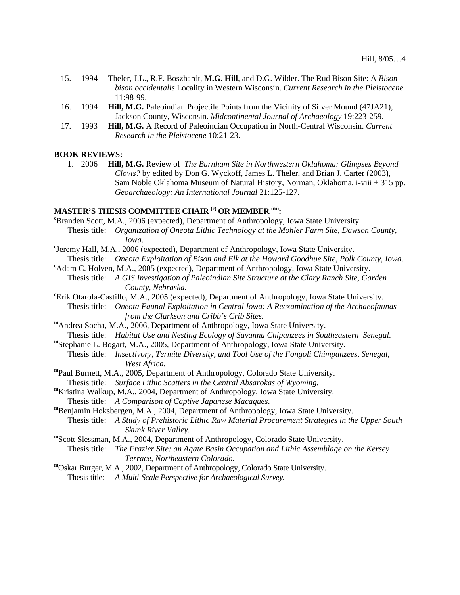- 15. 1994 Theler, J.L., R.F. Boszhardt, **M.G. Hill**, and D.G. Wilder. The Rud Bison Site: A *Bison bison occidentalis* Locality in Western Wisconsin. *Current Research in the Pleistocene* 11:98-99.
- 16. 1994 **Hill, M.G.** Paleoindian Projectile Points from the Vicinity of Silver Mound (47JA21), Jackson County, Wisconsin. *Midcontinental Journal of Archaeology* 19:223-259.
- 17. 1993 **Hill, M.G.** A Record of Paleoindian Occupation in North-Central Wisconsin. *Current Research in the Pleistocene* 10:21-23.

#### **BOOK REVIEWS:**

1. 2006 **Hill, M.G.** Review of *The Burnham Site in Northwestern Oklahoma: Glimpses Beyond Clovis?* by edited by Don G. Wyckoff, James L. Theler, and Brian J. Carter (2003), Sam Noble Oklahoma Museum of Natural History, Norman, Oklahoma, i-viii + 315 pp. *Geoarchaeology: An International Journal* 21:125-127.

## MASTER'S THESIS COMMITTEE CHAIR <sup>(c)</sup> OR MEMBER <sup>(m)</sup>:

Branden Scott, M.A., 2006 (expected), Department of Anthropology, Iowa State University. Thesis title: *Organization of Oneota Lithic Technology at the Mohler Farm Site, Dawson County, Iowa*. **<sup>c</sup>** Jeremy Hall, M.A., 2006 (expected), Department of Anthropology, Iowa State University.

- Thesis title: *Oneota Exploitation of Bison and Elk at the Howard Goodhue Site, Polk County, Iowa*. <sup>c</sup>
- <sup>c</sup>Adam C. Holven, M.A., 2005 (expected), Department of Anthropology, Iowa State University.
- Thesis title: *A GIS Investigation of Paleoindian Site Structure at the Clary Ranch Site, Garden County, Nebraska.* **<sup>c</sup>** Erik Otarola-Castillo, M.A., 2005 (expected), Department of Anthropology, Iowa State University.
- Thesis title: *Oneota Faunal Exploitation in Central Iowa: A Reexamination of the Archaeofaunas from the Clarkson and Cribb's Crib Sites.* **<sup>m</sup>**Andrea Socha, M.A., 2006, Department of Anthropology, Iowa State University.
- Thesis title: *Habitat Use and Nesting Ecology of Savanna Chipanzees in Southeastern Senegal.* **<sup>m</sup>**Stephanie L. Bogart, M.A., 2005, Department of Anthropology, Iowa State University.
	-
- Thesis title: *Insectivory, Termite Diversity, and Tool Use of the Fongoli Chimpanzees, Senegal, West Africa.* **<sup>m</sup>**Paul Burnett, M.A., 2005, Department of Anthropology, Colorado State University.
- 
- Thesis title: *Surface Lithic Scatters in the Central Absarokas of Wyoming.* **<sup>m</sup>**Kristina Walkup, M.A., 2004, Department of Anthropology, Iowa State University. Thesis title: *A Comparison of Captive Japanese Macaques*. **<sup>m</sup>**Benjamin Hoksbergen, M.A., 2004, Department of Anthropology, Iowa State University.
- 

 Thesis title: *A Study of Prehistoric Lithic Raw Material Procurement Strategies in the Upper South Skunk River Valley.*<br> **"Scott Slessman, M.A., 2004, Department of Anthropology, Colorado State University.** 

- 
- Thesis title: *The Frazier Site: an Agate Basin Occupation and Lithic Assemblage on the Kersey Terrace, Northeastern Colorado.* **<sup>m</sup>**Oskar Burger, M.A., 2002, Department of Anthropology, Colorado State University.
- 
- Thesis title: *A Multi-Scale Perspective for Archaeological Survey.*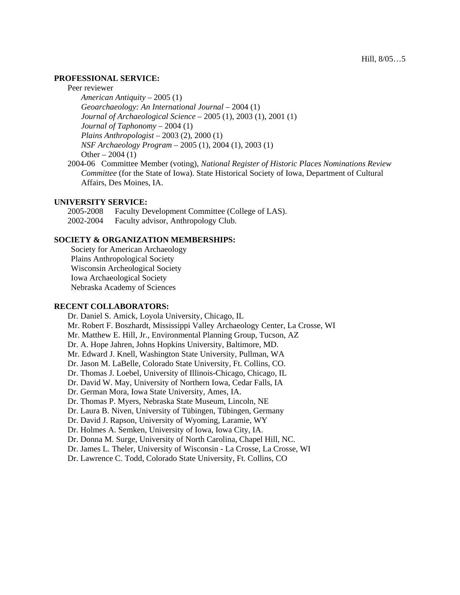### **PROFESSIONAL SERVICE:**

Peer reviewer

 *American Antiquity* – 2005 (1) *Geoarchaeology: An International Journal* – 2004 (1) *Journal of Archaeological Science* – 2005 (1), 2003 (1), 2001 (1) *Journal of Taphonomy* – 2004 (1) *Plains Anthropologist* – 2003 (2), 2000 (1) *NSF Archaeology Program* – 2005 (1), 2004 (1), 2003 (1) Other  $-2004(1)$ 

2004-06 Committee Member (voting), *National Register of Historic Places Nominations Review Committee* (for the State of Iowa). State Historical Society of Iowa, Department of Cultural Affairs, Des Moines, IA.

#### **UNIVERSITY SERVICE:**

 2005-2008 Faculty Development Committee (College of LAS). 2002-2004 Faculty advisor, Anthropology Club.

#### **SOCIETY & ORGANIZATION MEMBERSHIPS:**

 Society for American Archaeology Plains Anthropological Society Wisconsin Archeological Society Iowa Archaeological Society Nebraska Academy of Sciences

#### **RECENT COLLABORATORS:**

 Dr. Daniel S. Amick, Loyola University, Chicago, IL Mr. Robert F. Boszhardt, Mississippi Valley Archaeology Center, La Crosse, WI Mr. Matthew E. Hill, Jr., Environmental Planning Group, Tucson, AZ Dr. A. Hope Jahren, Johns Hopkins University, Baltimore, MD. Mr. Edward J. Knell, Washington State University, Pullman, WA Dr. Jason M. LaBelle, Colorado State University, Ft. Collins, CO. Dr. Thomas J. Loebel, University of Illinois-Chicago, Chicago, IL Dr. David W. May, University of Northern Iowa, Cedar Falls, IA Dr. German Mora, Iowa State University, Ames, IA. Dr. Thomas P. Myers, Nebraska State Museum, Lincoln, NE Dr. Laura B. Niven, University of Tübingen, Tübingen, Germany Dr. David J. Rapson, University of Wyoming, Laramie, WY Dr. Holmes A. Semken, University of Iowa, Iowa City, IA. Dr. Donna M. Surge, University of North Carolina, Chapel Hill, NC. Dr. James L. Theler, University of Wisconsin - La Crosse, La Crosse, WI Dr. Lawrence C. Todd, Colorado State University, Ft. Collins, CO